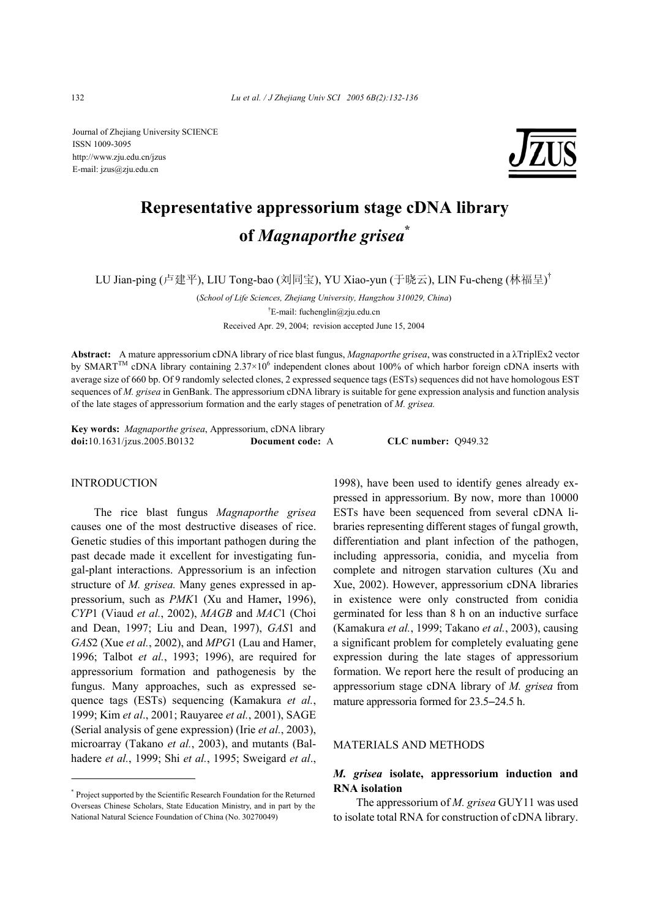Journal of Zhejiang University SCIENCE ISSN 1009-3095 http://www.zju.edu.cn/jzus E-mail: jzus@zju.edu.cn



# **Representative appressorium stage cDNA library of** *Magnaporthe grisea***\***

LU Jian-ping (卢建平), LIU Tong-bao (刘同宝), YU Xiao-yun (于晓云), LIN Fu-cheng (林福呈) †

(*School of Life Sciences, Zhejiang University, Hangzhou 310029, China*) † E-mail: fuchenglin@zju.edu.cn Received Apr. 29, 2004; revision accepted June 15, 2004

**Abstract:** A mature appressorium cDNA library of rice blast fungus, *Magnaporthe grisea*, was constructed in a λTriplEx2 vector by SMART<sup>TM</sup> cDNA library containing  $2.37\times10^6$  independent clones about 100% of which harbor foreign cDNA inserts with average size of 660 bp. Of 9 randomly selected clones, 2 expressed sequence tags (ESTs) sequences did not have homologous EST sequences of *M. grisea* in GenBank. The appressorium cDNA library is suitable for gene expression analysis and function analysis of the late stages of appressorium formation and the early stages of penetration of *M. grisea.*

**Key words:** *Magnaporthe grisea*, Appressorium, cDNA library **doi:**10.1631/jzus.2005.B0132 **Document code:** A **CLC number:** Q949.32

#### INTRODUCTION

The rice blast fungus *Magnaporthe grisea* causes one of the most destructive diseases of rice. Genetic studies of this important pathogen during the past decade made it excellent for investigating fungal-plant interactions. Appressorium is an infection structure of *M. grisea.* Many genes expressed in appressorium, such as *PMK*1 (Xu and Hamer**,** 1996), *CYP*1 (Viaud *et al.*, 2002), *MAGB* and *MAC*1 (Choi and Dean, 1997; Liu and Dean, 1997), *GAS*1 and *GAS*2 (Xue *et al.*, 2002), and *MPG*1 (Lau and Hamer, 1996; Talbot *et al.*, 1993; 1996), are required for appressorium formation and pathogenesis by the fungus. Many approaches, such as expressed sequence tags (ESTs) sequencing (Kamakura *et al.*, 1999; Kim *et al*., 2001; Rauyaree *et al.*, 2001), SAGE (Serial analysis of gene expression) (Irie *et al.*, 2003), microarray (Takano *et al.*, 2003), and mutants (Balhadere *et al.*, 1999; Shi *et al.*, 1995; Sweigard *et al*.,

\* Project supported by the Scientific Research Foundation for the Returned Overseas Chinese Scholars, State Education Ministry, and in part by the National Natural Science Foundation of China (No. 30270049)

1998), have been used to identify genes already expressed in appressorium. By now, more than 10000 ESTs have been sequenced from several cDNA libraries representing different stages of fungal growth, differentiation and plant infection of the pathogen, including appressoria, conidia, and mycelia from complete and nitrogen starvation cultures (Xu and Xue, 2002). However, appressorium cDNA libraries in existence were only constructed from conidia germinated for less than 8 h on an inductive surface (Kamakura *et al.*, 1999; Takano *et al.*, 2003), causing a significant problem for completely evaluating gene expression during the late stages of appressorium formation. We report here the result of producing an appressorium stage cDNA library of *M. grisea* from mature appressoria formed for 23.5−24.5 h.

## MATERIALS AND METHODS

## *M. grisea* **isolate, appressorium induction and RNA isolation**

The appressorium of *M. grisea* GUY11 was used to isolate total RNA for construction of cDNA library.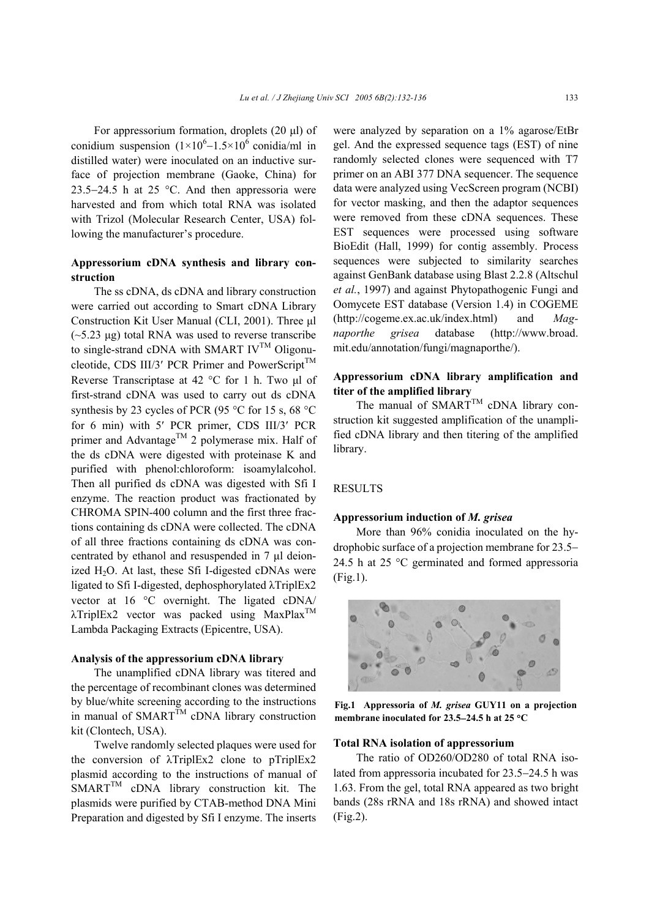For appressorium formation, droplets  $(20 \mu l)$  of conidium suspension  $(1 \times 10^{6} - 1.5 \times 10^{6} \text{ conidia/ml in})$ distilled water) were inoculated on an inductive surface of projection membrane (Gaoke, China) for 23.5−24.5 h at 25 °C. And then appressoria were harvested and from which total RNA was isolated with Trizol (Molecular Research Center, USA) following the manufacturer's procedure.

#### **Appressorium cDNA synthesis and library construction**

The ss cDNA, ds cDNA and library construction were carried out according to Smart cDNA Library Construction Kit User Manual (CLI, 2001). Three ul  $(-5.23 \text{ µg})$  total RNA was used to reverse transcribe to single-strand cDNA with SMART IV<sup>TM</sup> Oligonucleotide, CDS III/3' PCR Primer and PowerScript<sup>TM</sup> Reverse Transcriptase at  $42 \degree C$  for 1 h. Two  $\mu$ l of first-strand cDNA was used to carry out ds cDNA synthesis by 23 cycles of PCR (95 °C for 15 s, 68 °C for 6 min) with 5′ PCR primer, CDS III/3′ PCR primer and Advantage<sup>TM</sup> 2 polymerase mix. Half of the ds cDNA were digested with proteinase K and purified with phenol:chloroform: isoamylalcohol. Then all purified ds cDNA was digested with Sfi I enzyme. The reaction product was fractionated by CHROMA SPIN-400 column and the first three fractions containing ds cDNA were collected. The cDNA of all three fractions containing ds cDNA was concentrated by ethanol and resuspended in 7 µl deionized  $H_2O$ . At last, these Sfi I-digested cDNAs were ligated to Sfi I-digested, dephosphorylated λTriplEx2 vector at 16 °C overnight. The ligated cDNA/  $\lambda$ TriplEx2 vector was packed using MaxPlax<sup>TM</sup> Lambda Packaging Extracts (Epicentre, USA).

#### **Analysis of the appressorium cDNA library**

The unamplified cDNA library was titered and the percentage of recombinant clones was determined by blue/white screening according to the instructions in manual of  $SMARKT^{TM}$  cDNA library construction kit (Clontech, USA).

Twelve randomly selected plaques were used for the conversion of λTriplEx2 clone to pTriplEx2 plasmid according to the instructions of manual of SMART<sup>TM</sup> cDNA library construction kit. The plasmids were purified by CTAB-method DNA Mini Preparation and digested by Sfi I enzyme. The inserts were analyzed by separation on a 1% agarose/EtBr gel. And the expressed sequence tags (EST) of nine randomly selected clones were sequenced with T7 primer on an ABI 377 DNA sequencer. The sequence data were analyzed using VecScreen program (NCBI) for vector masking, and then the adaptor sequences were removed from these cDNA sequences. These EST sequences were processed using software BioEdit (Hall, 1999) for contig assembly. Process sequences were subjected to similarity searches against GenBank database using Blast 2.2.8 (Altschul *et al.*, 1997) and against Phytopathogenic Fungi and Oomycete EST database (Version 1.4) in COGEME (http://cogeme.ex.ac.uk/index.html) and *Magnaporthe grisea* database (http://www.broad. mit.edu/annotation/fungi/magnaporthe/).

## **Appressorium cDNA library amplification and titer of the amplified library**

The manual of  $SMARKT^{TM}$  cDNA library construction kit suggested amplification of the unamplified cDNA library and then titering of the amplified library.

#### RESULTS

#### **Appressorium induction of** *M. grisea*

More than 96% conidia inoculated on the hydrophobic surface of a projection membrane for 23.5− 24.5 h at 25 °C germinated and formed appressoria (Fig.1).



**Fig.1 Appressoria of** *M. grisea* **GUY11 on a projection membrane inoculated for 23.5**−**24.5 h at 25** °**C**

#### **Total RNA isolation of appressorium**

The ratio of OD260/OD280 of total RNA isolated from appressoria incubated for 23.5−24.5 h was 1.63. From the gel, total RNA appeared as two bright bands (28s rRNA and 18s rRNA) and showed intact (Fig.2).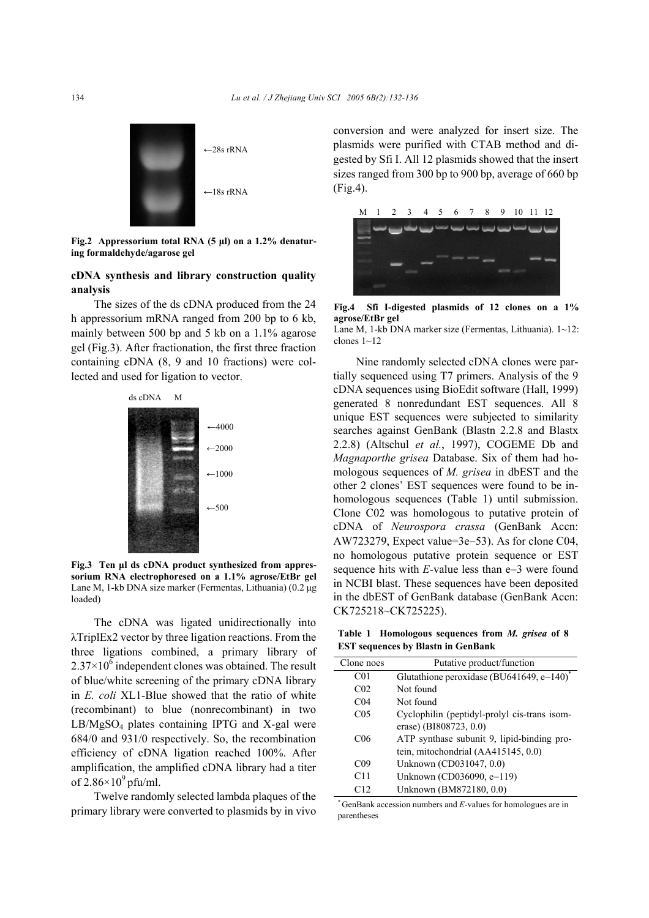

**Fig.2 Appressorium total RNA (5 µl) on a 1.2% denaturing formaldehyde/agarose gel**

#### **cDNA synthesis and library construction quality analysis**

The sizes of the ds cDNA produced from the 24 h appressorium mRNA ranged from 200 bp to 6 kb, mainly between 500 bp and 5 kb on a 1.1% agarose gel (Fig.3). After fractionation, the first three fraction containing cDNA (8, 9 and 10 fractions) were collected and used for ligation to vector.



**Fig.3 Ten µl ds cDNA product synthesized from appressorium RNA electrophoresed on a 1.1% agrose/EtBr gel** Lane M, 1-kb DNA size marker (Fermentas, Lithuania) (0.2 µg loaded)

The cDNA was ligated unidirectionally into λTriplEx2 vector by three ligation reactions. From the three ligations combined, a primary library of  $2.37 \times 10^6$  independent clones was obtained. The result of blue/white screening of the primary cDNA library in *E. coli* XL1-Blue showed that the ratio of white (recombinant) to blue (nonrecombinant) in two LB/MgSO4 plates containing IPTG and X-gal were 684/0 and 931/0 respectively. So, the recombination efficiency of cDNA ligation reached 100%. After amplification, the amplified cDNA library had a titer of  $2.86\times10^9$  pfu/ml.

Twelve randomly selected lambda plaques of the primary library were converted to plasmids by in vivo

conversion and were analyzed for insert size. The plasmids were purified with CTAB method and digested by Sfi I. All 12 plasmids showed that the insert sizes ranged from 300 bp to 900 bp, average of 660 bp (Fig.4).



**Fig.4 Sfi I-digested plasmids of 12 clones on a 1% agrose/EtBr gel**  Lane M, 1-kb DNA marker size (Fermentas, Lithuania). 1~12: clones 1~12

Nine randomly selected cDNA clones were partially sequenced using T7 primers. Analysis of the 9 cDNA sequences using BioEdit software (Hall, 1999) generated 8 nonredundant EST sequences. All 8 unique EST sequences were subjected to similarity searches against GenBank (Blastn 2.2.8 and Blastx 2.2.8) (Altschul *et al.*, 1997), COGEME Db and *Magnaporthe grisea* Database. Six of them had homologous sequences of *M. grisea* in dbEST and the other 2 clones' EST sequences were found to be inhomologous sequences (Table 1) until submission. Clone C02 was homologous to putative protein of cDNA of *Neurospora crassa* (GenBank Accn: AW723279, Expect value=3e−53). As for clone C04, no homologous putative protein sequence or EST sequence hits with *E*-value less than e−3 were found in NCBI blast. These sequences have been deposited in the dbEST of GenBank database (GenBank Accn: CK725218~CK725225).

**Table 1 Homologous sequences from** *M. grisea* **of 8 EST sequences by Blastn in GenBank** 

÷.

| Clone noes      | Putative product/function                                |
|-----------------|----------------------------------------------------------|
| CO <sub>1</sub> | Glutathione peroxidase (BU641649, e $-\overline{140}$ )* |
| CO <sub>2</sub> | Not found                                                |
| C <sub>04</sub> | Not found                                                |
| CO <sub>5</sub> | Cyclophilin (peptidyl-prolyl cis-trans isom-             |
|                 | erase) (BI808723, 0.0)                                   |
| C <sub>06</sub> | ATP synthase subunit 9, lipid-binding pro-               |
|                 | tein, mitochondrial (AA415145, 0.0)                      |
| C <sub>09</sub> | Unknown (CD031047, 0.0)                                  |
| C11             | Unknown (CD036090, e-119)                                |
| C12             | Unknown (BM872180, 0.0)                                  |

\* GenBank accession numbers and *E*-values for homologues are in parentheses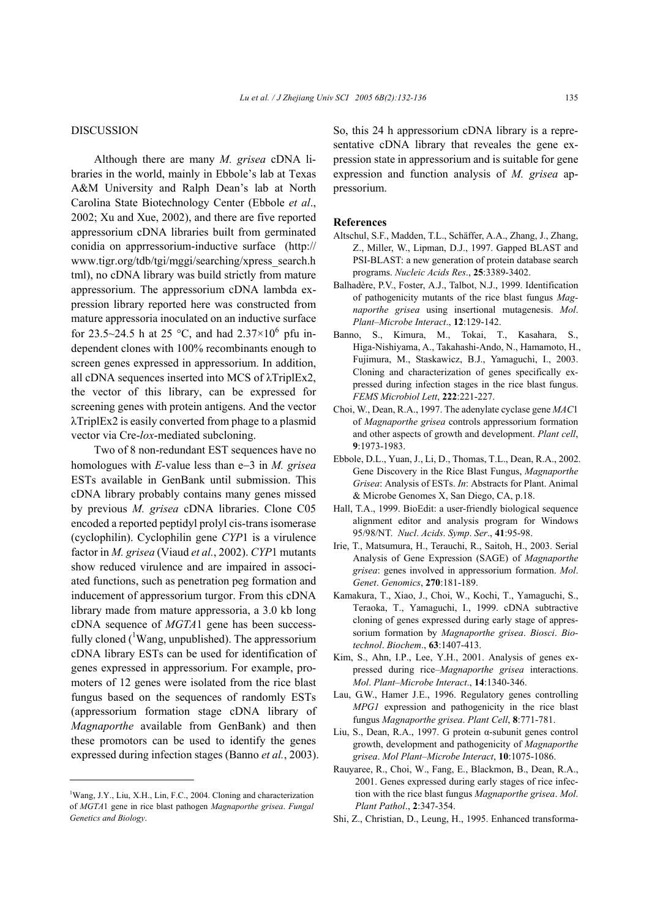#### DISCUSSION

Although there are many *M. grisea* cDNA libraries in the world, mainly in Ebbole's lab at Texas A&M University and Ralph Dean's lab at North Carolina State Biotechnology Center (Ebbole *et al*., 2002; Xu and Xue, 2002), and there are five reported appressorium cDNA libraries built from germinated conidia on apprressorium-inductive surface (http:// www.tigr.org/tdb/tgi/mggi/searching/xpress\_search.h tml), no cDNA library was build strictly from mature appressorium. The appressorium cDNA lambda expression library reported here was constructed from mature appressoria inoculated on an inductive surface for 23.5~24.5 h at 25 °C, and had  $2.37\times10^{6}$  pfu independent clones with 100% recombinants enough to screen genes expressed in appressorium. In addition, all cDNA sequences inserted into MCS of λTriplEx2, the vector of this library, can be expressed for screening genes with protein antigens. And the vector λTriplEx2 is easily converted from phage to a plasmid vector via Cre-*lox*-mediated subcloning.

Two of 8 non-redundant EST sequences have no homologues with *E*-value less than e−3 in *M. grisea*  ESTs available in GenBank until submission. This cDNA library probably contains many genes missed by previous *M. grisea* cDNA libraries. Clone C05 encoded a reported peptidyl prolyl cis-trans isomerase (cyclophilin). Cyclophilin gene *CYP*1 is a virulence factor in *M. grisea* (Viaud *et al.*, 2002). *CYP*1 mutants show reduced virulence and are impaired in associated functions, such as penetration peg formation and inducement of appressorium turgor. From this cDNA library made from mature appressoria, a 3.0 kb long cDNA sequence of *MGTA*1 gene has been successfully cloned  $(^1$ Wang, unpublished). The appressorium cDNA library ESTs can be used for identification of genes expressed in appressorium. For example, promoters of 12 genes were isolated from the rice blast fungus based on the sequences of randomly ESTs (appressorium formation stage cDNA library of *Magnaporthe* available from GenBank) and then these promotors can be used to identify the genes expressed during infection stages (Banno *et al.*, 2003).

<sup>1</sup>Wang, J.Y., Liu, X.H., Lin, F.C., 2004. Cloning and characterization of *MGTA*1 gene in rice blast pathogen *Magnaporthe grisea*. *Fungal Genetics and Biology*.

So, this 24 h appressorium cDNA library is a representative cDNA library that reveales the gene expression state in appressorium and is suitable for gene expression and function analysis of *M. grisea* appressorium.

#### **References**

- Altschul, S.F., Madden, T.L., Schäffer, A.A., Zhang, J., Zhang, Z., Miller, W., Lipman, D.J., 1997. Gapped BLAST and PSI-BLAST: a new generation of protein database search programs. *Nucleic Acids Res*., **25**:3389-3402.
- Balhadère, P.V., Foster, A.J., Talbot, N.J., 1999. Identification of pathogenicity mutants of the rice blast fungus *Magnaporthe grisea* using insertional mutagenesis. *Mol*. *Plant–Microbe Interact*., **12**:129-142.
- Banno, S., Kimura, M., Tokai, T., Kasahara, S., Higa-Nishiyama, A., Takahashi-Ando, N., Hamamoto, H., Fujimura, M., Staskawicz, B.J., Yamaguchi, I., 2003. Cloning and characterization of genes specifically expressed during infection stages in the rice blast fungus. *FEMS Microbiol Lett*, **222**:221-227.
- Choi, W., Dean, R.A., 1997. The adenylate cyclase gene *MAC*1 of *Magnaporthe grisea* controls appressorium formation and other aspects of growth and development. *Plant cell*, **9**:1973-1983.
- Ebbole, D.L., Yuan, J., Li, D., Thomas, T.L., Dean, R.A., 2002. Gene Discovery in the Rice Blast Fungus, *Magnaporthe Grisea*: Analysis of ESTs. *In*: Abstracts for Plant. Animal & Microbe Genomes X, San Diego, CA, p.18.
- Hall, T.A., 1999. BioEdit: a user-friendly biological sequence alignment editor and analysis program for Windows 95/98/NT. *Nucl*. *Acids*. *Symp*. *Ser*., **41**:95-98.
- Irie, T., Matsumura, H., Terauchi, R., Saitoh, H., 2003. Serial Analysis of Gene Expression (SAGE) of *Magnaporthe grisea*: genes involved in appressorium formation. *Mol*. *Genet*. *Genomics*, **270**:181-189.
- Kamakura, T., Xiao, J., Choi, W., Kochi, T., Yamaguchi, S., Teraoka, T., Yamaguchi, I., 1999. cDNA subtractive cloning of genes expressed during early stage of appressorium formation by *Magnaporthe grisea*. *Biosci*. *Biotechnol*. *Biochem*., **63**:1407-413.
- Kim, S., Ahn, I.P., Lee, Y.H., 2001. Analysis of genes expressed during rice–*Magnaporthe grisea* interactions. *Mol*. *Plant–Microbe Interact*., **14**:1340-346.
- Lau, G.W., Hamer J.E., 1996. Regulatory genes controlling *MPG1* expression and pathogenicity in the rice blast fungus *Magnaporthe grisea*. *Plant Cell*, **8**:771-781.
- Liu, S., Dean, R.A., 1997. G protein α-subunit genes control growth, development and pathogenicity of *Magnaporthe grisea*. *Mol Plant*–*Microbe Interact*, **10**:1075-1086.
- Rauyaree, R., Choi, W., Fang, E., Blackmon, B., Dean, R.A., 2001. Genes expressed during early stages of rice infection with the rice blast fungus *Magnaporthe grisea*. *Mol*. *Plant Pathol*., **2**:347-354.
- Shi, Z., Christian, D., Leung, H., 1995. Enhanced transforma-